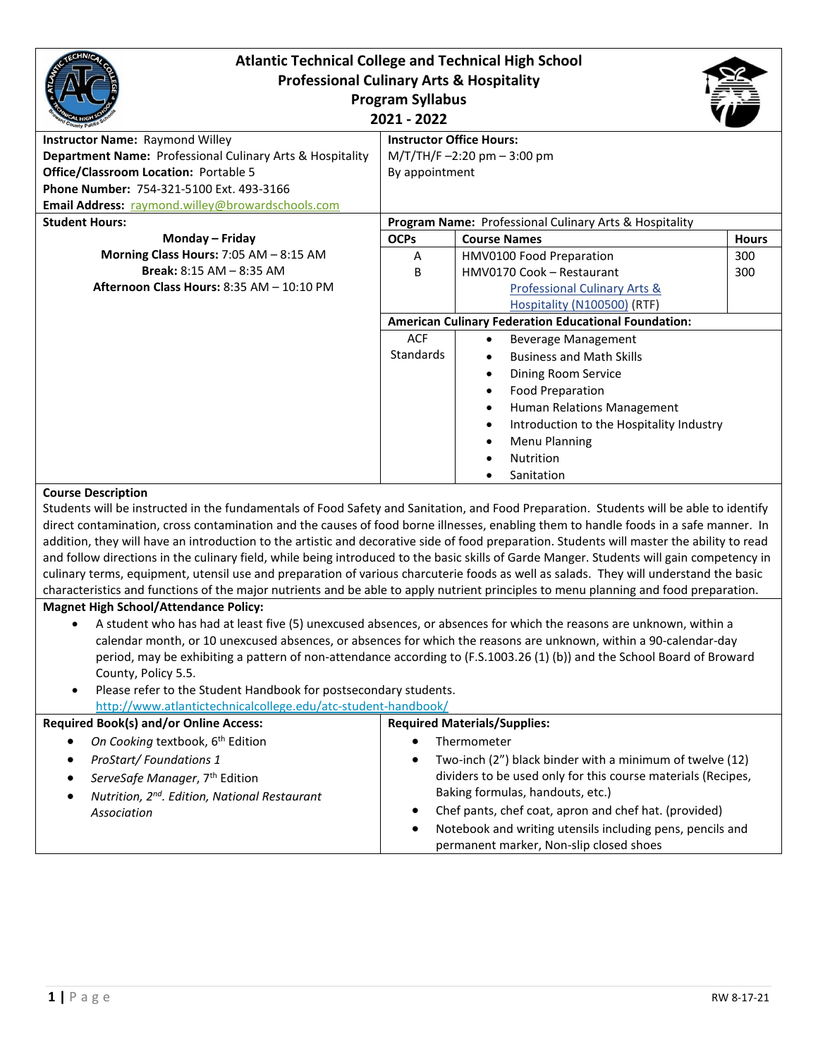| <b>Atlantic Technical College and Technical High School</b>                                                                                |                                                        |                                                             |              |  |  |
|--------------------------------------------------------------------------------------------------------------------------------------------|--------------------------------------------------------|-------------------------------------------------------------|--------------|--|--|
| <b>Professional Culinary Arts &amp; Hospitality</b>                                                                                        |                                                        |                                                             |              |  |  |
| <b>Program Syllabus</b>                                                                                                                    |                                                        |                                                             |              |  |  |
| 2021 - 2022                                                                                                                                |                                                        |                                                             |              |  |  |
| <b>Instructor Name: Raymond Willey</b>                                                                                                     |                                                        | <b>Instructor Office Hours:</b>                             |              |  |  |
| Department Name: Professional Culinary Arts & Hospitality                                                                                  | M/T/TH/F-2:20 pm - 3:00 pm                             |                                                             |              |  |  |
| Office/Classroom Location: Portable 5                                                                                                      | By appointment                                         |                                                             |              |  |  |
| Phone Number: 754-321-5100 Ext. 493-3166                                                                                                   |                                                        |                                                             |              |  |  |
| Email Address: raymond.willey@browardschools.com                                                                                           |                                                        |                                                             |              |  |  |
| <b>Student Hours:</b>                                                                                                                      | Program Name: Professional Culinary Arts & Hospitality |                                                             |              |  |  |
| Monday - Friday                                                                                                                            | <b>OCPs</b>                                            | <b>Course Names</b>                                         | <b>Hours</b> |  |  |
| Morning Class Hours: 7:05 AM - 8:15 AM                                                                                                     | A                                                      | HMV0100 Food Preparation                                    | 300          |  |  |
| <b>Break: 8:15 AM - 8:35 AM</b>                                                                                                            | B                                                      | HMV0170 Cook - Restaurant                                   | 300          |  |  |
| Afternoon Class Hours: 8:35 AM - 10:10 PM                                                                                                  |                                                        | Professional Culinary Arts &                                |              |  |  |
|                                                                                                                                            |                                                        | Hospitality (N100500) (RTF)                                 |              |  |  |
|                                                                                                                                            |                                                        | <b>American Culinary Federation Educational Foundation:</b> |              |  |  |
|                                                                                                                                            | <b>ACF</b>                                             | <b>Beverage Management</b>                                  |              |  |  |
|                                                                                                                                            | <b>Standards</b>                                       | <b>Business and Math Skills</b>                             |              |  |  |
|                                                                                                                                            |                                                        | Dining Room Service                                         |              |  |  |
|                                                                                                                                            |                                                        | <b>Food Preparation</b>                                     |              |  |  |
|                                                                                                                                            |                                                        | Human Relations Management                                  |              |  |  |
|                                                                                                                                            |                                                        | Introduction to the Hospitality Industry                    |              |  |  |
|                                                                                                                                            |                                                        | <b>Menu Planning</b>                                        |              |  |  |
|                                                                                                                                            |                                                        | Nutrition                                                   |              |  |  |
|                                                                                                                                            |                                                        | Sanitation                                                  |              |  |  |
| <b>Course Description</b>                                                                                                                  |                                                        |                                                             |              |  |  |
| Students will be instructed in the fundamentals of Food Safety and Sanitation, and Food Preparation. Students will be able to identify     |                                                        |                                                             |              |  |  |
| direct contamination, cross contamination and the causes of food borne illnesses, enabling them to handle foods in a safe manner. In       |                                                        |                                                             |              |  |  |
| addition, they will have an introduction to the artistic and decorative side of food preparation. Students will master the ability to read |                                                        |                                                             |              |  |  |
| and follow directions in the culinary field, while being introduced to the basic skills of Garde Manger. Students will gain competency in  |                                                        |                                                             |              |  |  |

characteristics and functions of the major nutrients and be able to apply nutrient principles to menu planning and food preparation. **Magnet High School/Attendance Policy:**

• A student who has had at least five (5) unexcused absences, or absences for which the reasons are unknown, within a calendar month, or 10 unexcused absences, or absences for which the reasons are unknown, within a 90-calendar-day period, may be exhibiting a pattern of non-attendance according to (F.S.1003.26 (1) (b)) and the School Board of Broward County, Policy 5.5.

culinary terms, equipment, utensil use and preparation of various charcuterie foods as well as salads. They will understand the basic

Please refer to the Student Handbook for postsecondary students. <http://www.atlantictechnicalcollege.edu/atc-student-handbook/>

| <b>Required Book(s) and/or Online Access:</b>                        | <b>Required Materials/Supplies:</b>                                                                                                   |  |  |
|----------------------------------------------------------------------|---------------------------------------------------------------------------------------------------------------------------------------|--|--|
| On Cooking textbook, 6 <sup>th</sup> Edition                         | Thermometer                                                                                                                           |  |  |
| ProStart/Foundations 1<br>ServeSafe Manager, 7 <sup>th</sup> Edition | Two-inch (2") black binder with a minimum of twelve (12)<br>$\bullet$<br>dividers to be used only for this course materials (Recipes, |  |  |
| Nutrition, 2 <sup>nd</sup> . Edition, National Restaurant            | Baking formulas, handouts, etc.)                                                                                                      |  |  |
| Association                                                          | Chef pants, chef coat, apron and chef hat. (provided)<br>٠                                                                            |  |  |
|                                                                      | Notebook and writing utensils including pens, pencils and                                                                             |  |  |
|                                                                      | permanent marker, Non-slip closed shoes                                                                                               |  |  |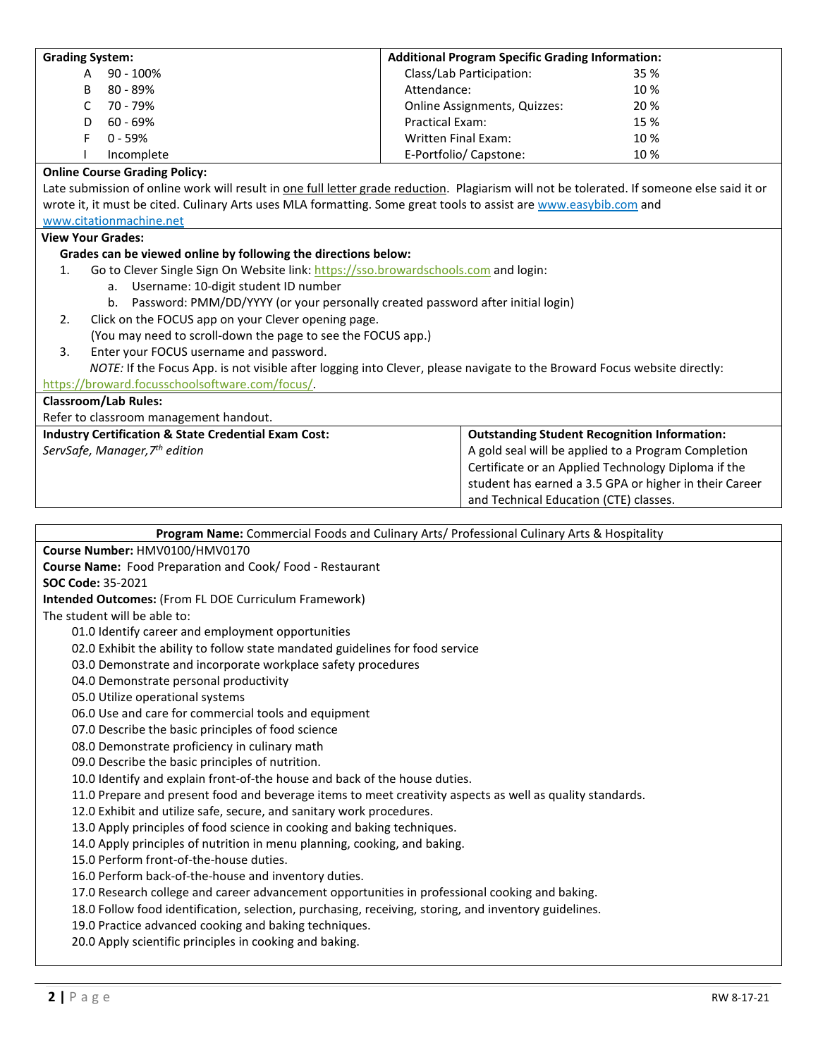| <b>Grading System:</b>                                                                                                                                         | <b>Additional Program Specific Grading Information:</b> |                                                        |  |  |  |
|----------------------------------------------------------------------------------------------------------------------------------------------------------------|---------------------------------------------------------|--------------------------------------------------------|--|--|--|
| 90 - 100%<br>A                                                                                                                                                 | Class/Lab Participation:                                | 35 %                                                   |  |  |  |
| 80 - 89%<br>B                                                                                                                                                  | Attendance:                                             | 10%                                                    |  |  |  |
| 70 - 79%<br>C                                                                                                                                                  | Online Assignments, Quizzes:                            | 20%                                                    |  |  |  |
| 60 - 69%<br>D                                                                                                                                                  | Practical Exam:                                         | 15 %                                                   |  |  |  |
| F<br>$0 - 59%$                                                                                                                                                 | <b>Written Final Exam:</b>                              | 10%                                                    |  |  |  |
| Incomplete                                                                                                                                                     | E-Portfolio/ Capstone:                                  | 10%                                                    |  |  |  |
| <b>Online Course Grading Policy:</b>                                                                                                                           |                                                         |                                                        |  |  |  |
| Late submission of online work will result in one full letter grade reduction. Plagiarism will not be tolerated. If someone else said it or                    |                                                         |                                                        |  |  |  |
| wrote it, it must be cited. Culinary Arts uses MLA formatting. Some great tools to assist are www.easybib.com and                                              |                                                         |                                                        |  |  |  |
| www.citationmachine.net                                                                                                                                        |                                                         |                                                        |  |  |  |
| <b>View Your Grades:</b>                                                                                                                                       |                                                         |                                                        |  |  |  |
| Grades can be viewed online by following the directions below:                                                                                                 |                                                         |                                                        |  |  |  |
| Go to Clever Single Sign On Website link: https://sso.browardschools.com and login:<br>1.                                                                      |                                                         |                                                        |  |  |  |
| a. Username: 10-digit student ID number                                                                                                                        |                                                         |                                                        |  |  |  |
| b. Password: PMM/DD/YYYY (or your personally created password after initial login)                                                                             |                                                         |                                                        |  |  |  |
| Click on the FOCUS app on your Clever opening page.<br>2.                                                                                                      |                                                         |                                                        |  |  |  |
| (You may need to scroll-down the page to see the FOCUS app.)                                                                                                   |                                                         |                                                        |  |  |  |
| Enter your FOCUS username and password.<br>3.                                                                                                                  |                                                         |                                                        |  |  |  |
| NOTE: If the Focus App. is not visible after logging into Clever, please navigate to the Broward Focus website directly:                                       |                                                         |                                                        |  |  |  |
| https://broward.focusschoolsoftware.com/focus/                                                                                                                 |                                                         |                                                        |  |  |  |
| <b>Classroom/Lab Rules:</b>                                                                                                                                    |                                                         |                                                        |  |  |  |
| Refer to classroom management handout.                                                                                                                         |                                                         |                                                        |  |  |  |
| <b>Industry Certification &amp; State Credential Exam Cost:</b>                                                                                                |                                                         | <b>Outstanding Student Recognition Information:</b>    |  |  |  |
| ServSafe, Manager, 7 <sup>th</sup> edition                                                                                                                     |                                                         | A gold seal will be applied to a Program Completion    |  |  |  |
|                                                                                                                                                                |                                                         | Certificate or an Applied Technology Diploma if the    |  |  |  |
|                                                                                                                                                                |                                                         | student has earned a 3.5 GPA or higher in their Career |  |  |  |
|                                                                                                                                                                |                                                         |                                                        |  |  |  |
|                                                                                                                                                                |                                                         |                                                        |  |  |  |
|                                                                                                                                                                | and Technical Education (CTE) classes.                  |                                                        |  |  |  |
|                                                                                                                                                                |                                                         |                                                        |  |  |  |
| Program Name: Commercial Foods and Culinary Arts/ Professional Culinary Arts & Hospitality                                                                     |                                                         |                                                        |  |  |  |
| Course Number: HMV0100/HMV0170                                                                                                                                 |                                                         |                                                        |  |  |  |
| Course Name: Food Preparation and Cook/Food - Restaurant                                                                                                       |                                                         |                                                        |  |  |  |
| SOC Code: 35-2021                                                                                                                                              |                                                         |                                                        |  |  |  |
| Intended Outcomes: (From FL DOE Curriculum Framework)                                                                                                          |                                                         |                                                        |  |  |  |
| The student will be able to:                                                                                                                                   |                                                         |                                                        |  |  |  |
| 01.0 Identify career and employment opportunities                                                                                                              |                                                         |                                                        |  |  |  |
| 02.0 Exhibit the ability to follow state mandated guidelines for food service                                                                                  |                                                         |                                                        |  |  |  |
| 03.0 Demonstrate and incorporate workplace safety procedures                                                                                                   |                                                         |                                                        |  |  |  |
| 04.0 Demonstrate personal productivity                                                                                                                         |                                                         |                                                        |  |  |  |
| 05.0 Utilize operational systems                                                                                                                               |                                                         |                                                        |  |  |  |
| 06.0 Use and care for commercial tools and equipment                                                                                                           |                                                         |                                                        |  |  |  |
| 07.0 Describe the basic principles of food science                                                                                                             |                                                         |                                                        |  |  |  |
| 08.0 Demonstrate proficiency in culinary math                                                                                                                  |                                                         |                                                        |  |  |  |
| 09.0 Describe the basic principles of nutrition.                                                                                                               |                                                         |                                                        |  |  |  |
| 10.0 Identify and explain front-of-the house and back of the house duties.                                                                                     |                                                         |                                                        |  |  |  |
| 11.0 Prepare and present food and beverage items to meet creativity aspects as well as quality standards.                                                      |                                                         |                                                        |  |  |  |
| 12.0 Exhibit and utilize safe, secure, and sanitary work procedures.                                                                                           |                                                         |                                                        |  |  |  |
| 13.0 Apply principles of food science in cooking and baking techniques.                                                                                        |                                                         |                                                        |  |  |  |
| 14.0 Apply principles of nutrition in menu planning, cooking, and baking.                                                                                      |                                                         |                                                        |  |  |  |
| 15.0 Perform front-of-the-house duties.                                                                                                                        |                                                         |                                                        |  |  |  |
| 16.0 Perform back-of-the-house and inventory duties.                                                                                                           |                                                         |                                                        |  |  |  |
| 17.0 Research college and career advancement opportunities in professional cooking and baking.                                                                 |                                                         |                                                        |  |  |  |
| 18.0 Follow food identification, selection, purchasing, receiving, storing, and inventory guidelines.<br>19.0 Practice advanced cooking and baking techniques. |                                                         |                                                        |  |  |  |

20.0 Apply scientific principles in cooking and baking.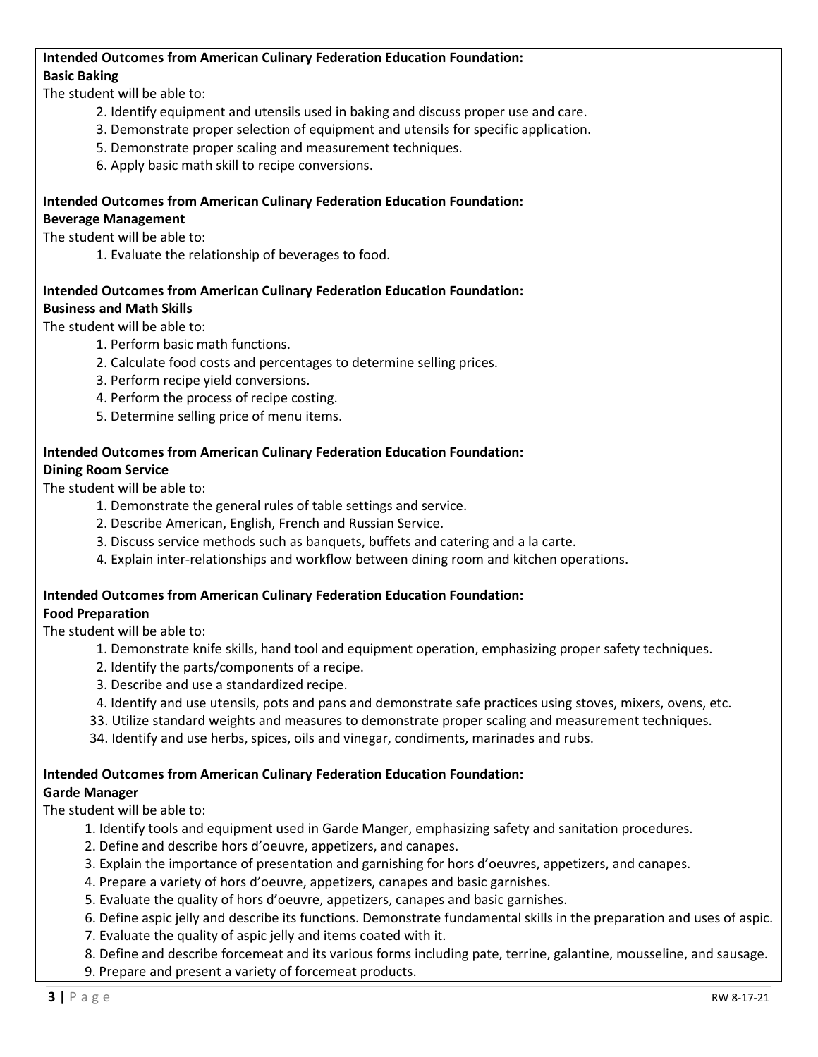## **Intended Outcomes from American Culinary Federation Education Foundation: Basic Baking**

The student will be able to:

- 2. Identify equipment and utensils used in baking and discuss proper use and care.
- 3. Demonstrate proper selection of equipment and utensils for specific application.
- 5. Demonstrate proper scaling and measurement techniques.
- 6. Apply basic math skill to recipe conversions.

## **Intended Outcomes from American Culinary Federation Education Foundation: Beverage Management**

## The student will be able to:

1. Evaluate the relationship of beverages to food.

## **Intended Outcomes from American Culinary Federation Education Foundation: Business and Math Skills**

## The student will be able to:

- 1. Perform basic math functions.
- 2. Calculate food costs and percentages to determine selling prices.
- 3. Perform recipe yield conversions.
- 4. Perform the process of recipe costing.
- 5. Determine selling price of menu items.

## **Intended Outcomes from American Culinary Federation Education Foundation: Dining Room Service**

The student will be able to:

- 1. Demonstrate the general rules of table settings and service.
- 2. Describe American, English, French and Russian Service.
- 3. Discuss service methods such as banquets, buffets and catering and a la carte.
- 4. Explain inter-relationships and workflow between dining room and kitchen operations.

#### **Intended Outcomes from American Culinary Federation Education Foundation: Food Preparation**

The student will be able to:

- 1. Demonstrate knife skills, hand tool and equipment operation, emphasizing proper safety techniques.
- 2. Identify the parts/components of a recipe.
- 3. Describe and use a standardized recipe.
- 4. Identify and use utensils, pots and pans and demonstrate safe practices using stoves, mixers, ovens, etc.
- 33. Utilize standard weights and measures to demonstrate proper scaling and measurement techniques.
- 34. Identify and use herbs, spices, oils and vinegar, condiments, marinades and rubs.

#### **Intended Outcomes from American Culinary Federation Education Foundation: Garde Manager**

## The student will be able to:

- 1. Identify tools and equipment used in Garde Manger, emphasizing safety and sanitation procedures.
- 2. Define and describe hors d'oeuvre, appetizers, and canapes.
- 3. Explain the importance of presentation and garnishing for hors d'oeuvres, appetizers, and canapes.
- 4. Prepare a variety of hors d'oeuvre, appetizers, canapes and basic garnishes.
- 5. Evaluate the quality of hors d'oeuvre, appetizers, canapes and basic garnishes.

6. Define aspic jelly and describe its functions. Demonstrate fundamental skills in the preparation and uses of aspic.

7. Evaluate the quality of aspic jelly and items coated with it.

8. Define and describe forcemeat and its various forms including pate, terrine, galantine, mousseline, and sausage.

9. Prepare and present a variety of forcemeat products.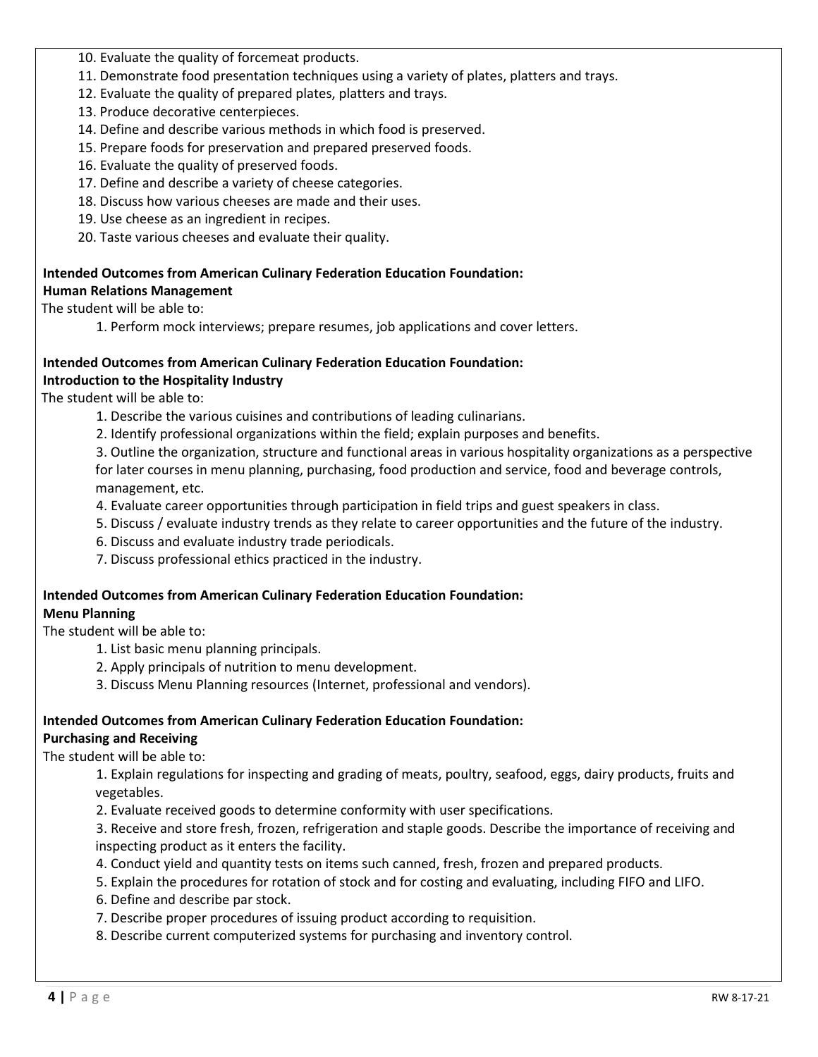- 10. Evaluate the quality of forcemeat products.
- 11. Demonstrate food presentation techniques using a variety of plates, platters and trays.
- 12. Evaluate the quality of prepared plates, platters and trays.
- 13. Produce decorative centerpieces.
- 14. Define and describe various methods in which food is preserved.
- 15. Prepare foods for preservation and prepared preserved foods.
- 16. Evaluate the quality of preserved foods.
- 17. Define and describe a variety of cheese categories.
- 18. Discuss how various cheeses are made and their uses.
- 19. Use cheese as an ingredient in recipes.
- 20. Taste various cheeses and evaluate their quality.

## **Intended Outcomes from American Culinary Federation Education Foundation: Human Relations Management**

The student will be able to:

1. Perform mock interviews; prepare resumes, job applications and cover letters.

## **Intended Outcomes from American Culinary Federation Education Foundation: Introduction to the Hospitality Industry**

The student will be able to:

- 1. Describe the various cuisines and contributions of leading culinarians.
- 2. Identify professional organizations within the field; explain purposes and benefits.

 3. Outline the organization, structure and functional areas in various hospitality organizations as a perspective for later courses in menu planning, purchasing, food production and service, food and beverage controls, management, etc.

- 4. Evaluate career opportunities through participation in field trips and guest speakers in class.
- 5. Discuss / evaluate industry trends as they relate to career opportunities and the future of the industry.
- 6. Discuss and evaluate industry trade periodicals.
- 7. Discuss professional ethics practiced in the industry.

#### **Intended Outcomes from American Culinary Federation Education Foundation: Menu Planning**

The student will be able to:

- 1. List basic menu planning principals.
- 2. Apply principals of nutrition to menu development.
- 3. Discuss Menu Planning resources (Internet, professional and vendors).

# **Intended Outcomes from American Culinary Federation Education Foundation:**

## **Purchasing and Receiving**

The student will be able to:

 1. Explain regulations for inspecting and grading of meats, poultry, seafood, eggs, dairy products, fruits and vegetables.

2. Evaluate received goods to determine conformity with user specifications.

 3. Receive and store fresh, frozen, refrigeration and staple goods. Describe the importance of receiving and inspecting product as it enters the facility.

- 4. Conduct yield and quantity tests on items such canned, fresh, frozen and prepared products.
- 5. Explain the procedures for rotation of stock and for costing and evaluating, including FIFO and LIFO.
- 6. Define and describe par stock.
- 7. Describe proper procedures of issuing product according to requisition.
- 8. Describe current computerized systems for purchasing and inventory control.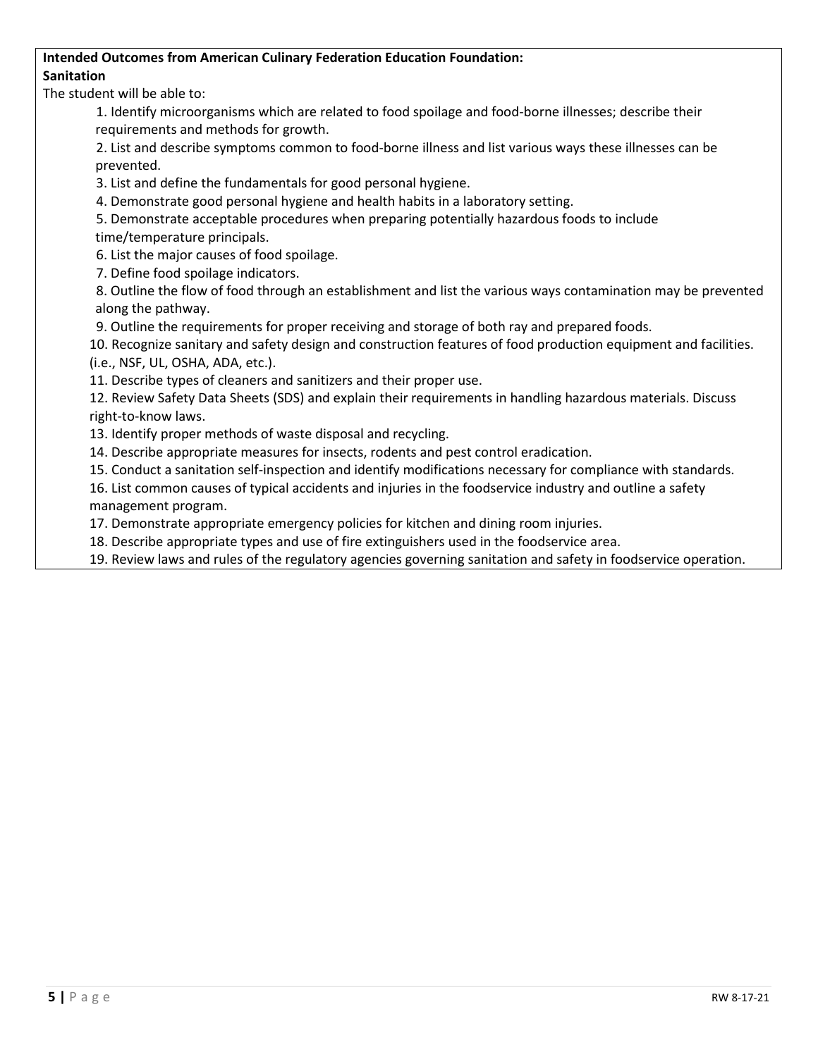# **Intended Outcomes from American Culinary Federation Education Foundation: Sanitation**

The student will be able to:

 1. Identify microorganisms which are related to food spoilage and food-borne illnesses; describe their requirements and methods for growth.

 2. List and describe symptoms common to food-borne illness and list various ways these illnesses can be prevented.

3. List and define the fundamentals for good personal hygiene.

4. Demonstrate good personal hygiene and health habits in a laboratory setting.

5. Demonstrate acceptable procedures when preparing potentially hazardous foods to include

time/temperature principals.

6. List the major causes of food spoilage.

7. Define food spoilage indicators.

 8. Outline the flow of food through an establishment and list the various ways contamination may be prevented along the pathway.

9. Outline the requirements for proper receiving and storage of both ray and prepared foods.

10. Recognize sanitary and safety design and construction features of food production equipment and facilities. (i.e., NSF, UL, OSHA, ADA, etc.).

11. Describe types of cleaners and sanitizers and their proper use.

12. Review Safety Data Sheets (SDS) and explain their requirements in handling hazardous materials. Discuss right-to-know laws.

13. Identify proper methods of waste disposal and recycling.

14. Describe appropriate measures for insects, rodents and pest control eradication.

15. Conduct a sanitation self-inspection and identify modifications necessary for compliance with standards.

16. List common causes of typical accidents and injuries in the foodservice industry and outline a safety management program.

17. Demonstrate appropriate emergency policies for kitchen and dining room injuries.

18. Describe appropriate types and use of fire extinguishers used in the foodservice area.

19. Review laws and rules of the regulatory agencies governing sanitation and safety in foodservice operation.